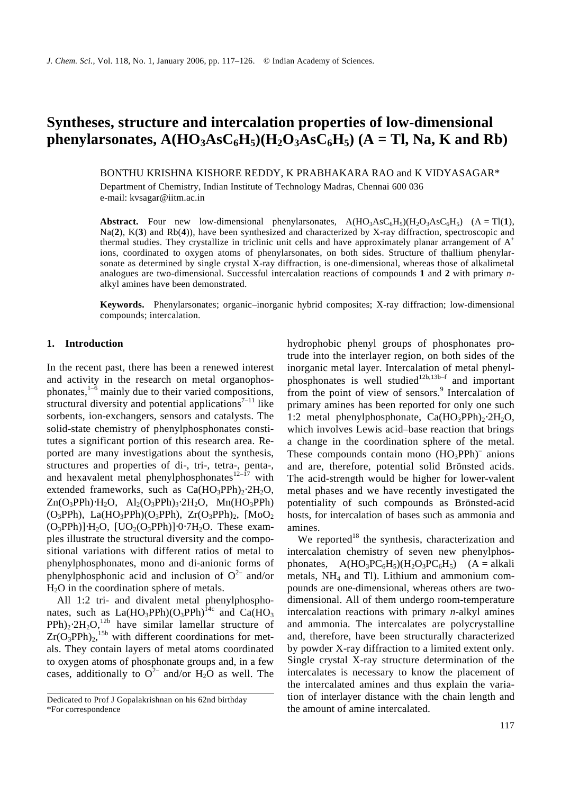# **Syntheses, structure and intercalation properties of low-dimensional phenylarsonates, A(HO**<sub>3</sub>**AsC**<sub>6</sub>**H**<sub>5</sub>**)**(**H**<sub>2</sub>**O**<sub>3</sub>**AsC**<sub>6</sub>**H**<sub>5</sub>**)**(**A** = **Tl, Na, K** and **Rb**)

BONTHU KRISHNA KISHORE REDDY, K PRABHAKARA RAO and K VIDYASAGAR\*

Department of Chemistry, Indian Institute of Technology Madras, Chennai 600 036 e-mail: kvsagar@iitm.ac.in

**Abstract.** Four new low-dimensional phenylarsonates,  $A(HO_3ASC_6H_5)(H_2O_3ASC_6H_5)$  (A = Tl(1), Na(**2**), K(**3**) and Rb(**4**)), have been synthesized and characterized by X-ray diffraction, spectroscopic and thermal studies. They crystallize in triclinic unit cells and have approximately planar arrangement of  $A^+$ ions, coordinated to oxygen atoms of phenylarsonates, on both sides. Structure of thallium phenylarsonate as determined by single crystal X-ray diffraction, is one-dimensional, whereas those of alkalimetal analogues are two-dimensional. Successful intercalation reactions of compounds **1** and **2** with primary *n*alkyl amines have been demonstrated.

**Keywords.** Phenylarsonates; organic–inorganic hybrid composites; X-ray diffraction; low-dimensional compounds; intercalation.

#### **1. Introduction**

In the recent past, there has been a renewed interest and activity in the research on metal organophosphonates,<sup>1-6</sup> mainly due to their varied compositions, structural diversity and potential applications<sup> $7-11$ </sup> like sorbents, ion-exchangers, sensors and catalysts. The solid-state chemistry of phenylphosphonates constitutes a significant portion of this research area. Reported are many investigations about the synthesis, structures and properties of di-, tri-, tetra-, penta-, and hexavalent metal phenylphosphonates $12-17$  with extended frameworks, such as  $Ca(HO_3PPh)_2·2H_2O$ ,  $Zn(O_3PPh)·H_2O$ ,  $Al_2(O_3PPh)_3·2H_2O$ ,  $Mn(HO_3PPh)$  $(O_3PPh)$ , La $(HO_3PPh)(O_3PPh)$ , Zr $(O_3PPh)_2$ ,  $[M_0O_2]$  $(O_3PPh)$ ]⋅H<sub>2</sub>O, [UO<sub>2</sub>(O<sub>3</sub>PPh)]⋅0⋅7H<sub>2</sub>O. These examples illustrate the structural diversity and the compositional variations with different ratios of metal to phenylphosphonates, mono and di-anionic forms of phenylphosphonic acid and inclusion of  $O^{2-}$  and/or  $H<sub>2</sub>O$  in the coordination sphere of metals.

All 1:2 tri- and divalent metal phenylphosphonates, such as  $La(HO_3PPh)(O_3PPh)^{1/4c}$  and  $Ca(HO_3)$  $PPh$ )<sub>2</sub>⋅2H<sub>2</sub>O,<sup>12b</sup> have similar lamellar structure of  $Zr(O_3PPh)_2$ <sup>15b</sup> with different coordinations for metals. They contain layers of metal atoms coordinated to oxygen atoms of phosphonate groups and, in a few cases, additionally to  $O^{2-}$  and/or H<sub>2</sub>O as well. The

hydrophobic phenyl groups of phosphonates protrude into the interlayer region, on both sides of the inorganic metal layer. Intercalation of metal phenylphosphonates is well studied<sup>12b,13b-f</sup> and important from the point of view of sensors.<sup>9</sup> Intercalation of primary amines has been reported for only one such 1:2 metal phenylphosphonate, Ca(HO<sub>3</sub>PPh)<sub>2</sub>⋅2H<sub>2</sub>O, which involves Lewis acid–base reaction that brings a change in the coordination sphere of the metal. These compounds contain mono  $(HO_3PPh)^-$  anions and are, therefore, potential solid Brönsted acids. The acid-strength would be higher for lower-valent metal phases and we have recently investigated the potentiality of such compounds as Brönsted-acid hosts, for intercalation of bases such as ammonia and amines.

We reported<sup>18</sup> the synthesis, characterization and intercalation chemistry of seven new phenylphosphonates,  $A(HO_3PC_6H_5)(H_2O_3PC_6H_5)$  (A = alkali metals,  $NH<sub>4</sub>$  and Tl). Lithium and ammonium compounds are one-dimensional, whereas others are twodimensional. All of them undergo room-temperature intercalation reactions with primary *n*-alkyl amines and ammonia. The intercalates are polycrystalline and, therefore, have been structurally characterized by powder X-ray diffraction to a limited extent only. Single crystal X-ray structure determination of the intercalates is necessary to know the placement of the intercalated amines and thus explain the variation of interlayer distance with the chain length and the amount of amine intercalated.

Dedicated to Prof J Gopalakrishnan on his 62nd birthday \*For correspondence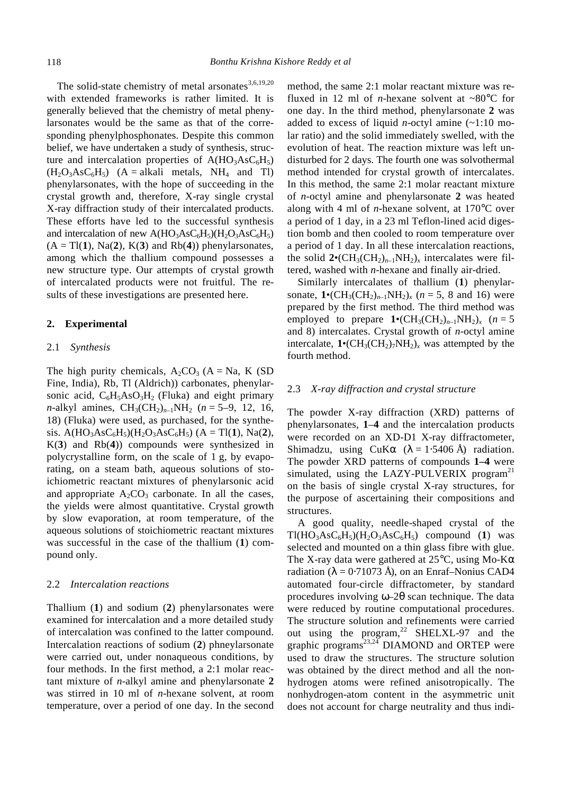The solid-state chemistry of metal arsonates $3,6,19,20$ with extended frameworks is rather limited. It is generally believed that the chemistry of metal phenylarsonates would be the same as that of the corresponding phenylphosphonates. Despite this common belief, we have undertaken a study of synthesis, structure and intercalation properties of  $A(HO_3AsC_6H_5)$  $(H_2O_3AsC_6H_5)$   $(A = alkali$  metals, NH<sub>4</sub> and Tl) phenylarsonates, with the hope of succeeding in the crystal growth and, therefore, X-ray single crystal X-ray diffraction study of their intercalated products. These efforts have led to the successful synthesis and intercalation of new  $A(HO_3AsC_6H_5)(H_2O_3AsC_6H_5)$  $(A = T1(1), Na(2), K(3)$  and  $Rb(4)$ ) phenylarsonates, among which the thallium compound possesses a new structure type. Our attempts of crystal growth of intercalated products were not fruitful. The results of these investigations are presented here.

## **2. Experimental**

## 2.1 *Synthesis*

The high purity chemicals,  $A_2CO_3$  (A = Na, K (SD) Fine, India), Rb, Tl (Aldrich)) carbonates, phenylarsonic acid,  $C_6H_5AsO_3H_2$  (Fluka) and eight primary *n*-alkyl amines,  $CH_3(CH_2)_{n-1}NH_2$  (*n* = 5–9, 12, 16, 18) (Fluka) were used, as purchased, for the synthesis.  $A(HO_3AsC_6H_5)(H_2O_3AsC_6H_5)$  (A = Tl(1), Na(2), K(**3**) and Rb(**4**)) compounds were synthesized in polycrystalline form, on the scale of 1 g, by evaporating, on a steam bath, aqueous solutions of stoichiometric reactant mixtures of phenylarsonic acid and appropriate  $A_2CO_3$  carbonate. In all the cases, the yields were almost quantitative. Crystal growth by slow evaporation, at room temperature, of the aqueous solutions of stoichiometric reactant mixtures was successful in the case of the thallium (**1**) compound only.

#### 2.2 *Intercalation reactions*

Thallium (**1**) and sodium (**2**) phenylarsonates were examined for intercalation and a more detailed study of intercalation was confined to the latter compound. Intercalation reactions of sodium (**2**) phneylarsonate were carried out, under nonaqueous conditions, by four methods. In the first method, a 2:1 molar reactant mixture of *n*-alkyl amine and phenylarsonate **2** was stirred in 10 ml of *n*-hexane solvent, at room temperature, over a period of one day. In the second method, the same 2:1 molar reactant mixture was refluxed in 12 ml of *n*-hexane solvent at  $\sim80^{\circ}$ C for one day. In the third method, phenylarsonate **2** was added to excess of liquid *n*-octyl amine (~1:10 molar ratio) and the solid immediately swelled, with the evolution of heat. The reaction mixture was left undisturbed for 2 days. The fourth one was solvothermal method intended for crystal growth of intercalates. In this method, the same 2:1 molar reactant mixture of *n*-octyl amine and phenylarsonate **2** was heated along with 4 ml of *n*-hexane solvent, at 170°C over a period of 1 day, in a 23 ml Teflon-lined acid digestion bomb and then cooled to room temperature over a period of 1 day. In all these intercalation reactions, the solid  $2 \cdot (CH_3(CH_2)_{n-1}NH_2)_x$  intercalates were filtered, washed with *n*-hexane and finally air-dried.

Similarly intercalates of thallium (**1**) phenylarsonate,  $1 \cdot (CH_3(CH_2)_{n-1}NH_2)_x$  (*n* = 5, 8 and 16) were prepared by the first method. The third method was employed to prepare  $1 \cdot (CH_3(CH_2)_{n-1}NH_2)_x$  (*n* = 5 and 8) intercalates. Crystal growth of *n*-octyl amine intercalate,  $1 \cdot (CH_3(CH_2)_7NH_2)_x$  was attempted by the fourth method.

#### 2.3 *X-ray diffraction and crystal structure*

The powder X-ray diffraction (XRD) patterns of phenylarsonates, **1**–**4** and the intercalation products were recorded on an XD-D1 X-ray diffractometer, Shimadzu, using CuK*a*  $(I = 1.5406 \text{ Å})$  radiation. The powder XRD patterns of compounds **1–4** were simulated, using the LAZY-PULVERIX program<sup>21</sup> on the basis of single crystal X-ray structures, for the purpose of ascertaining their compositions and structures.

A good quality, needle-shaped crystal of the  $Tl(HO<sub>3</sub>AsC<sub>6</sub>H<sub>5</sub>)(H<sub>2</sub>O<sub>3</sub>AsC<sub>6</sub>H<sub>5</sub>)$  compound (1) was selected and mounted on a thin glass fibre with glue. The X-ray data were gathered at 25°C, using Mo-K*a* radiation ( $\hat{I} = 0.71073$  Å), on an Enraf–Nonius CAD4 automated four-circle diffractometer, by standard procedures involving *w–*2*q* scan technique. The data were reduced by routine computational procedures. The structure solution and refinements were carried out using the  $program<sup>22</sup>$  SHELXL-97 and the graphic programs<sup>23,24</sup> DIAMOND and ORTEP were used to draw the structures. The structure solution was obtained by the direct method and all the nonhydrogen atoms were refined anisotropically. The nonhydrogen-atom content in the asymmetric unit does not account for charge neutrality and thus indi-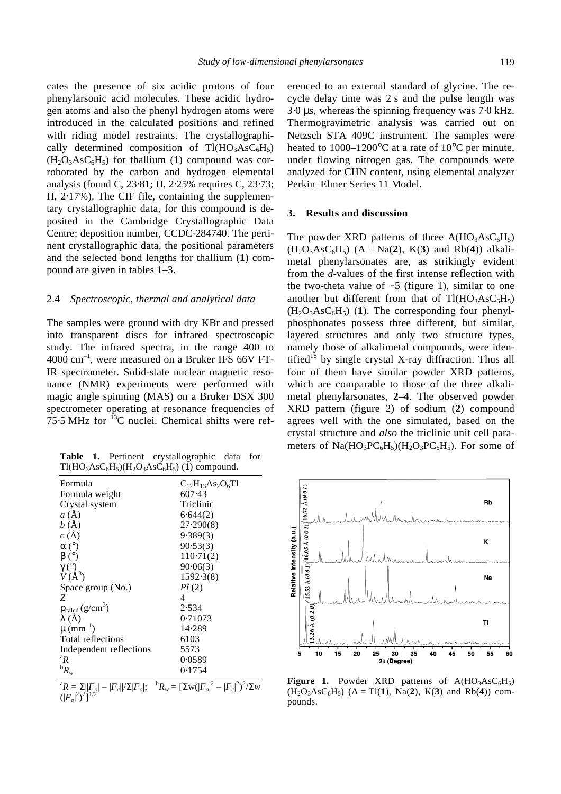cates the presence of six acidic protons of four phenylarsonic acid molecules. These acidic hydrogen atoms and also the phenyl hydrogen atoms were introduced in the calculated positions and refined with riding model restraints. The crystallographically determined composition of  $T1(HO_3AsC_6H_5)$  $(H_2O_3AsC_6H_5)$  for thallium (1) compound was corroborated by the carbon and hydrogen elemental analysis (found C, 23⋅81; H, 2⋅25% requires C, 23⋅73; H, 2⋅17%). The CIF file, containing the supplementary crystallographic data, for this compound is deposited in the Cambridge Crystallographic Data Centre; deposition number, CCDC-284740. The pertinent crystallographic data, the positional parameters and the selected bond lengths for thallium (**1**) compound are given in tables 1–3.

#### 2.4 *Spectroscopic, thermal and analytical data*

The samples were ground with dry KBr and pressed into transparent discs for infrared spectroscopic study. The infrared spectra, in the range 400 to 4000 cm–1 , were measured on a Bruker IFS 66V FT-IR spectrometer. Solid-state nuclear magnetic resonance (NMR) experiments were performed with magic angle spinning (MAS) on a Bruker DSX 300 spectrometer operating at resonance frequencies of  $75.5$  MHz for  $^{13}$ C nuclei. Chemical shifts were ref-

**Table 1.** Pertinent crystallographic data for  $Tl(HO<sub>3</sub>AsC<sub>6</sub>H<sub>5</sub>)(H<sub>2</sub>O<sub>3</sub>AsC<sub>6</sub>H<sub>5</sub>)$  (1) compound.

| Formula                           | $C_{12}H_{13}As_2O_6T1$ |
|-----------------------------------|-------------------------|
| Formula weight                    | 607.43                  |
| Crystal system                    | Triclinic               |
| a(A)                              | 6.644(2)                |
| b(A)                              | 27.290(8)               |
| c(A)                              | 9.389(3)                |
| $a(^{\circ})$                     | 90.53(3)                |
| $\bm{b}$ (°)                      | $110-71(2)$             |
| $g^{(°)}_{V(A^3)}$                | 90.06(3)                |
|                                   | 1592.3(8)               |
| Space group (No.)                 | $P\hat{i}(2)$           |
| Ζ                                 | 4                       |
| $r_{\text{calgd}}(g/\text{cm}^3)$ | 2.534                   |
| I(A)                              | 0.71073                 |
| $m(mm^{-1})$                      | 14.289                  |
| Total reflections                 | 6103                    |
| Independent reflections           | 5573                    |
| ${}^{\rm a}R$                     | 0.0589                  |
| ${}^{\rm b}R_{w}$                 | 0.1754                  |

 ${}^{a}R = \sum_{\alpha} ||F_{\alpha}| - |F_{\alpha}||/\Sigma|F_{\alpha}$ ;  ${}^{b}R_{w} = [\Sigma_{w}(|F_{\alpha}|^{2} - |F_{\alpha}|^{2})^{2}/\Sigma_{w}$  $(|F_o|^2)^2]^{1/2}$ 

erenced to an external standard of glycine. The recycle delay time was 2 s and the pulse length was 3⋅0 *m*s, whereas the spinning frequency was 7⋅0 kHz. Thermogravimetric analysis was carried out on Netzsch STA 409C instrument. The samples were heated to 1000–1200°C at a rate of 10°C per minute, under flowing nitrogen gas. The compounds were analyzed for CHN content, using elemental analyzer Perkin–Elmer Series 11 Model.

#### **3. Results and discussion**

The powder XRD patterns of three  $A(HO_3AsC_6H_5)$  $(H_2O_3AsC_6H_5)$   $(A = Na(2), K(3)$  and Rb(4)) alkalimetal phenylarsonates are, as strikingly evident from the *d*-values of the first intense reflection with the two-theta value of  $\sim$  5 (figure 1), similar to one another but different from that of  $T1(HO_3AsC_6H_5)$  $(H_2O_3AsC_6H_5)$  (1). The corresponding four phenylphosphonates possess three different, but similar, layered structures and only two structure types, namely those of alkalimetal compounds, were identified<sup>18</sup> by single crystal X-ray diffraction. Thus all four of them have similar powder XRD patterns, which are comparable to those of the three alkalimetal phenylarsonates, **2**–**4**. The observed powder XRD pattern (figure 2) of sodium (**2**) compound agrees well with the one simulated, based on the crystal structure and *also* the triclinic unit cell parameters of  $Na(HO_3PC_6H_5)(H_2O_3PC_6H_5)$ . For some of



**Figure 1.** Powder XRD patterns of  $A(HO_3AsC_6H_5)$  $(H_2O_3AsC_6H_5)$   $(A = T1(1), Na(2), K(3)$  and Rb(4)) compounds.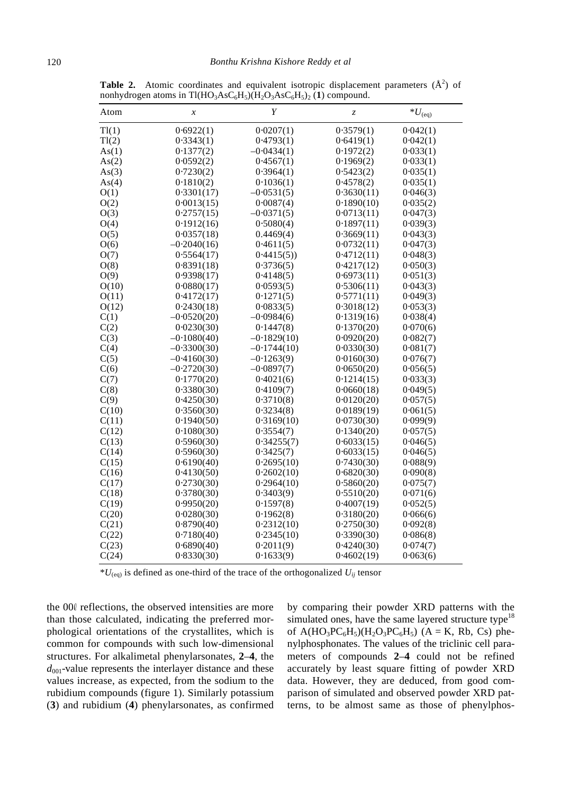| Atom  | $\boldsymbol{x}$ | Y             | $\ensuremath{\mathnormal{Z}}$ | $^*U_{\text{(eq)}}$ |
|-------|------------------|---------------|-------------------------------|---------------------|
| Tl(1) | 0.6922(1)        | 0.0207(1)     | 0.3579(1)                     | 0.042(1)            |
| Tl(2) | 0.3343(1)        | 0.4793(1)     | 0.6419(1)                     | 0.042(1)            |
| As(1) | 0.1377(2)        | $-0.0434(1)$  | 0.1972(2)                     | 0.033(1)            |
| As(2) | 0.0592(2)        | 0.4567(1)     | 0.1969(2)                     | 0.033(1)            |
| As(3) | 0.7230(2)        | 0.3964(1)     | 0.5423(2)                     | 0.035(1)            |
| As(4) | 0.1810(2)        | 0.1036(1)     | 0.4578(2)                     | 0.035(1)            |
| O(1)  | 0.3301(17)       | $-0.0531(5)$  | 0.3630(11)                    | 0.046(3)            |
| O(2)  | 0.0013(15)       | 0.0087(4)     | 0.1890(10)                    | 0.035(2)            |
| O(3)  | 0.2757(15)       | $-0.0371(5)$  | 0.0713(11)                    | 0.047(3)            |
| O(4)  | 0.1912(16)       | 0.5080(4)     | 0.1897(11)                    | 0.039(3)            |
| O(5)  | 0.0357(18)       | 0.4469(4)     | 0.3669(11)                    | 0.043(3)            |
| O(6)  | $-0.2040(16)$    | 0.4611(5)     | 0.0732(11)                    | 0.047(3)            |
| O(7)  | 0.5564(17)       | 0.4415(5)     | 0.4712(11)                    | 0.048(3)            |
| O(8)  | 0.8391(18)       | 0.3736(5)     | 0.4217(12)                    | 0.050(3)            |
| O(9)  | 0.9398(17)       | 0.4148(5)     | 0.6973(11)                    | 0.051(3)            |
| O(10) | 0.0880(17)       | 0.0593(5)     | 0.5306(11)                    | 0.043(3)            |
| O(11) | 0.4172(17)       | 0.1271(5)     | 0.5771(11)                    | 0.049(3)            |
| O(12) | 0.2430(18)       | 0.0833(5)     | 0.3018(12)                    | 0.053(3)            |
| C(1)  | $-0.0520(20)$    | $-0.0984(6)$  | 0.1319(16)                    | 0.038(4)            |
| C(2)  | 0.0230(30)       | 0.1447(8)     | 0.1370(20)                    | 0.070(6)            |
| C(3)  | $-0.1080(40)$    | $-0.1829(10)$ | 0.0920(20)                    | 0.082(7)            |
| C(4)  | $-0.3300(30)$    | $-0.1744(10)$ | 0.0330(30)                    | 0.081(7)            |
| C(5)  | $-0.4160(30)$    | $-0.1263(9)$  | 0.0160(30)                    | 0.076(7)            |
| C(6)  | $-0.2720(30)$    | $-0.0897(7)$  | 0.0650(20)                    | 0.056(5)            |
| C(7)  | 0.1770(20)       | 0.4021(6)     | 0.1214(15)                    | 0.033(3)            |
| C(8)  | 0.3380(30)       | 0.4109(7)     | 0.0660(18)                    | 0.049(5)            |
| C(9)  | 0.4250(30)       | 0.3710(8)     | 0.0120(20)                    | 0.057(5)            |
| C(10) | 0.3560(30)       | 0.3234(8)     | 0.0189(19)                    | 0.061(5)            |
| C(11) | 0.1940(50)       | 0.3169(10)    | 0.0730(30)                    | 0.099(9)            |
| C(12) | 0.1080(30)       | 0.3554(7)     | 0.1340(20)                    | 0.057(5)            |
| C(13) | 0.5960(30)       | 0.34255(7)    | 0.6033(15)                    | 0.046(5)            |
| C(14) | 0.5960(30)       | 0.3425(7)     | 0.6033(15)                    | 0.046(5)            |
| C(15) | 0.6190(40)       | 0.2695(10)    | 0.7430(30)                    | 0.088(9)            |
| C(16) | 0.4130(50)       | 0.2602(10)    | 0.6820(30)                    | 0.090(8)            |
| C(17) | 0.2730(30)       | 0.2964(10)    | 0.5860(20)                    | 0.075(7)            |
| C(18) | 0.3780(30)       | 0.3403(9)     | 0.5510(20)                    | 0.071(6)            |
| C(19) | 0.9950(20)       | 0.1597(8)     | 0.4007(19)                    | 0.052(5)            |
| C(20) | 0.0280(30)       | 0.1962(8)     | 0.3180(20)                    | 0.066(6)            |
| C(21) | 0.8790(40)       | 0.2312(10)    | 0.2750(30)                    | 0.092(8)            |
| C(22) | 0.7180(40)       | 0.2345(10)    | 0.3390(30)                    | 0.086(8)            |
| C(23) | 0.6890(40)       | 0.2011(9)     | 0.4240(30)                    | 0.074(7)            |
| C(24) | 0.8330(30)       | 0.1633(9)     | 0.4602(19)                    | 0.063(6)            |

**Table 2.** Atomic coordinates and equivalent isotropic displacement parameters  $(\hat{A}^2)$  of nonhydrogen atoms in Tl(HO<sub>3</sub>AsC<sub>6</sub>H<sub>5</sub>)(H<sub>2</sub>O<sub>3</sub>AsC<sub>6</sub>H<sub>5</sub>)<sub>2</sub> (1) compound.

 $*U_{(eq)}$  is defined as one-third of the trace of the orthogonalized  $U_{ij}$  tensor

the 000 reflections, the observed intensities are more than those calculated, indicating the preferred morphological orientations of the crystallites, which is common for compounds with such low-dimensional structures. For alkalimetal phenylarsonates, **2**–**4**, the  $d_{001}$ -value represents the interlayer distance and these values increase, as expected, from the sodium to the rubidium compounds (figure 1). Similarly potassium (**3**) and rubidium (**4**) phenylarsonates, as confirmed

by comparing their powder XRD patterns with the simulated ones, have the same layered structure type $18$ of  $A(HO_3PC_6H_5)(H_2O_3PC_6H_5)$  (A = K, Rb, Cs) phenylphosphonates. The values of the triclinic cell parameters of compounds **2**–**4** could not be refined accurately by least square fitting of powder XRD data. However, they are deduced, from good comparison of simulated and observed powder XRD patterns, to be almost same as those of phenylphos-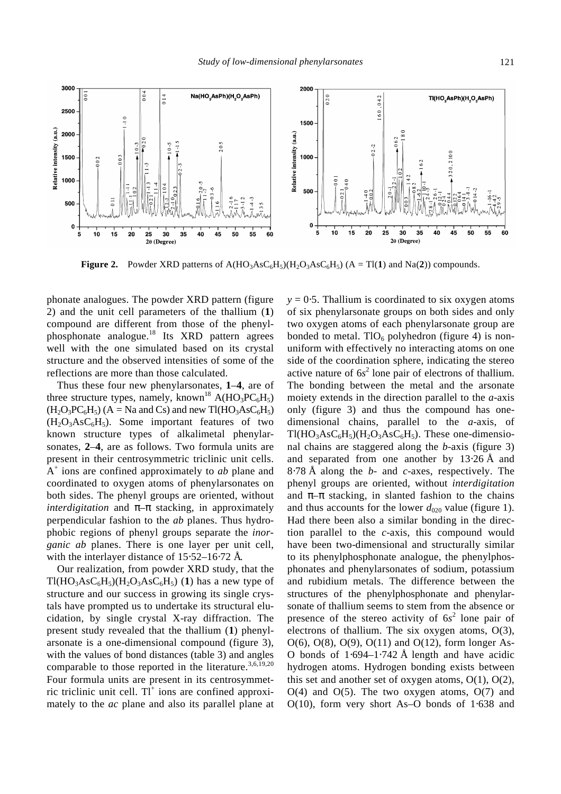

Relative intensity (a.u.) Relative intensity (a.u.)  $-0.20$  $-10-5$  $0 - 3$ 320,2100 1500  $103$ 1000  $\frac{4}{5}$  $023$ 500 500 Ó  $\mathbf 0$ 5  $10$  $15$  $\overline{20}$  $25$  $\overline{30}$ 40  $\overline{45}$  $50$  $55$ 10  $15$  $\overline{20}$  $\overline{25}$ 30 35 ۸ĸ 50 55 60  $35$  $60$  $2e$ (Degree)  $2\theta$  (Degree)

**Figure 2.** Powder XRD patterns of  $A(HO_3ASC_6H_5)(H_2O_3ASC_6H_5)$  ( $A = TI(1)$  and Na(2)) compounds.

phonate analogues. The powder XRD pattern (figure 2) and the unit cell parameters of the thallium (**1**) compound are different from those of the phenylphosphonate analogue.<sup>18</sup> Its XRD pattern agrees well with the one simulated based on its crystal structure and the observed intensities of some of the reflections are more than those calculated.

 $004$ 

 $\frac{1}{2}$ 

 $\frac{14}{ }$ 

3000

2500

2000

 $\overline{0}$ 

Thus these four new phenylarsonates, **1**–**4**, are of three structure types, namely, known<sup>18</sup> A(HO<sub>3</sub>PC<sub>6</sub>H<sub>5</sub>)  $(H_2O_3PC_6H_5)$   $(A = Na$  and Cs) and new Tl(HO<sub>3</sub>AsC<sub>6</sub>H<sub>5</sub>)  $(H_2O_3AsC_6H_5)$ . Some important features of two known structure types of alkalimetal phenylarsonates, **2**–**4**, are as follows. Two formula units are present in their centrosymmetric triclinic unit cells. A + ions are confined approximately to *ab* plane and coordinated to oxygen atoms of phenylarsonates on both sides. The phenyl groups are oriented, without *interdigitation* and *p*–*p* stacking, in approximately perpendicular fashion to the *ab* planes. Thus hydrophobic regions of phenyl groups separate the *inorganic ab* planes. There is one layer per unit cell, with the interlayer distance of 15⋅52–16⋅72 Å.

Our realization, from powder XRD study, that the  $T1(HO<sub>3</sub>AsC<sub>6</sub>H<sub>5</sub>)(H<sub>2</sub>O<sub>3</sub>AsC<sub>6</sub>H<sub>5</sub>)$  (1) has a new type of structure and our success in growing its single crystals have prompted us to undertake its structural elucidation, by single crystal X-ray diffraction. The present study revealed that the thallium (**1**) phenylarsonate is a one-dimensional compound (figure 3), with the values of bond distances (table 3) and angles comparable to those reported in the literature.<sup>3,6,19,20</sup> Four formula units are present in its centrosymmetric triclinic unit cell.  $TI^+$  ions are confined approximately to the *ac* plane and also its parallel plane at  $y = 0.5$ . Thallium is coordinated to six oxygen atoms of six phenylarsonate groups on both sides and only two oxygen atoms of each phenylarsonate group are bonded to metal.  $TIO<sub>6</sub>$  polyhedron (figure 4) is nonuniform with effectively no interacting atoms on one side of the coordination sphere, indicating the stereo active nature of  $6s^2$  lone pair of electrons of thallium. The bonding between the metal and the arsonate moiety extends in the direction parallel to the *a*-axis only (figure 3) and thus the compound has onedimensional chains, parallel to the *a*-axis, of  $T1(HO<sub>3</sub>AsC<sub>6</sub>H<sub>5</sub>)(H<sub>2</sub>O<sub>3</sub>AsC<sub>6</sub>H<sub>5</sub>). These one-dimension$ nal chains are staggered along the *b*-axis (figure 3) and separated from one another by 13⋅26 Å and 8⋅78 Å along the *b*- and *c*-axes, respectively. The phenyl groups are oriented, without *interdigitation* and *p–p* stacking, in slanted fashion to the chains and thus accounts for the lower  $d_{020}$  value (figure 1). Had there been also a similar bonding in the direction parallel to the *c*-axis, this compound would have been two-dimensional and structurally similar to its phenylphosphonate analogue, the phenylphosphonates and phenylarsonates of sodium, potassium and rubidium metals. The difference between the structures of the phenylphosphonate and phenylarsonate of thallium seems to stem from the absence or presence of the stereo activity of 6*s* 2 lone pair of electrons of thallium. The six oxygen atoms, O(3),  $O(6)$ ,  $O(8)$ ,  $O(9)$ ,  $O(11)$  and  $O(12)$ , form longer As-O bonds of 1⋅694–1⋅742 Å length and have acidic hydrogen atoms. Hydrogen bonding exists between this set and another set of oxygen atoms,  $O(1)$ ,  $O(2)$ ,  $O(4)$  and  $O(5)$ . The two oxygen atoms,  $O(7)$  and O(10), form very short As–O bonds of 1⋅638 and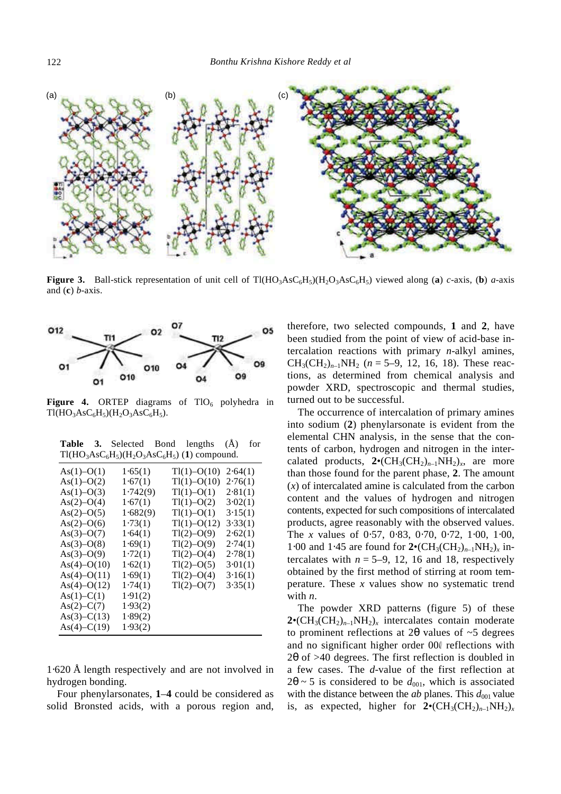

**Figure 3.** Ball-stick representation of unit cell of Tl(HO<sub>3</sub>AsC<sub>6</sub>H<sub>5</sub>)(H<sub>2</sub>O<sub>3</sub>AsC<sub>6</sub>H<sub>5</sub>) viewed along (**a**) *c*-axis, (**b**) *a*-axis and (**c**) *b*-axis.



**Figure 4.** ORTEP diagrams of  $TIO<sub>6</sub>$  polyhedra in  $T1(HO_3AsC_6H_5)(H_2O_3AsC_6H_5).$ 

|  | <b>Table 3.</b> Selected Bond lengths (A) for |  |  |
|--|-----------------------------------------------|--|--|
|  | $T1(HO3AsC6H5)(H2O3AsC6H5)$ (1) compound.     |  |  |

| $As(1) - O(1)$  | 1.65(1)  | $Tl(1) - O(10)$ | 2.64(1) |
|-----------------|----------|-----------------|---------|
| $As(1)-O(2)$    | 1.67(1)  | $Tl(1)-O(10)$   | 2.76(1) |
| $As(1) - O(3)$  | 1.742(9) | $Tl(1)-O(1)$    | 2.81(1) |
| $As(2)-O(4)$    | 1.67(1)  | $T1(1)-O(2)$    | 3.02(1) |
| $As(2) - O(5)$  | 1.682(9) | $Tl(1)-O(1)$    | 3.15(1) |
| $As(2)-O(6)$    | 1.73(1)  | $Tl(1)-O(12)$   | 3.33(1) |
| $As(3)-O(7)$    | 1.64(1)  | $T1(2)-O(9)$    | 2.62(1) |
| $As(3)-O(8)$    | 1.69(1)  | $T1(2)-O(9)$    | 2.74(1) |
| $As(3)-O(9)$    | 1.72(1)  | $T1(2)-O(4)$    | 2.78(1) |
| $As(4) - O(10)$ | 1.62(1)  | $T1(2)-O(5)$    | 3.01(1) |
| $As(4)-O(11)$   | 1.69(1)  | $T1(2)-O(4)$    | 3.16(1) |
| $As(4)-O(12)$   | 1.74(1)  | $T1(2)-O(7)$    | 3.35(1) |
| $As(1) - C(1)$  | 1.91(2)  |                 |         |
| $As(2) - C(7)$  | 1.93(2)  |                 |         |
| $As(3) - C(13)$ | 1.89(2)  |                 |         |
| $As(4) - C(19)$ | 1.93(2)  |                 |         |
|                 |          |                 |         |

1⋅620 Å length respectively and are not involved in hydrogen bonding.

Four phenylarsonates, **1**–**4** could be considered as solid Bronsted acids, with a porous region and,

therefore, two selected compounds, **1** and **2**, have been studied from the point of view of acid-base intercalation reactions with primary *n*-alkyl amines,  $CH_3(CH_2)_{n-1}NH_2$  ( $n = 5-9$ , 12, 16, 18). These reactions, as determined from chemical analysis and powder XRD, spectroscopic and thermal studies, turned out to be successful.

The occurrence of intercalation of primary amines into sodium (**2**) phenylarsonate is evident from the elemental CHN analysis, in the sense that the contents of carbon, hydrogen and nitrogen in the intercalated products,  $2 \cdot (CH_3(CH_2)_{n-1}NH_2)_x$ , are more than those found for the parent phase, **2**. The amount (*x*) of intercalated amine is calculated from the carbon content and the values of hydrogen and nitrogen contents, expected for such compositions of intercalated products, agree reasonably with the observed values. The *x* values of 0⋅57, 0⋅83, 0⋅70, 0⋅72, 1⋅00, 1⋅00, 1⋅00 and 1⋅45 are found for  $2 \cdot (CH_3(CH_2)_{n-1}NH_2)_x$  intercalates with  $n = 5-9$ , 12, 16 and 18, respectively obtained by the first method of stirring at room temperature. These *x* values show no systematic trend with *n*.

The powder XRD patterns (figure 5) of these  $2 \cdot (CH_3(CH_2)_{n-1}NH_2)_x$  intercalates contain moderate to prominent reflections at 2*q* values of ~5 degrees and no significant higher order 000 reflections with 2*q* of >40 degrees. The first reflection is doubled in a few cases. The *d*-value of the first reflection at  $2q \sim 5$  is considered to be  $d_{001}$ , which is associated with the distance between the *ab* planes. This  $d_{001}$  value is, as expected, higher for  $2 \cdot (CH_3(CH_2)_{n-1}NH_2)_x$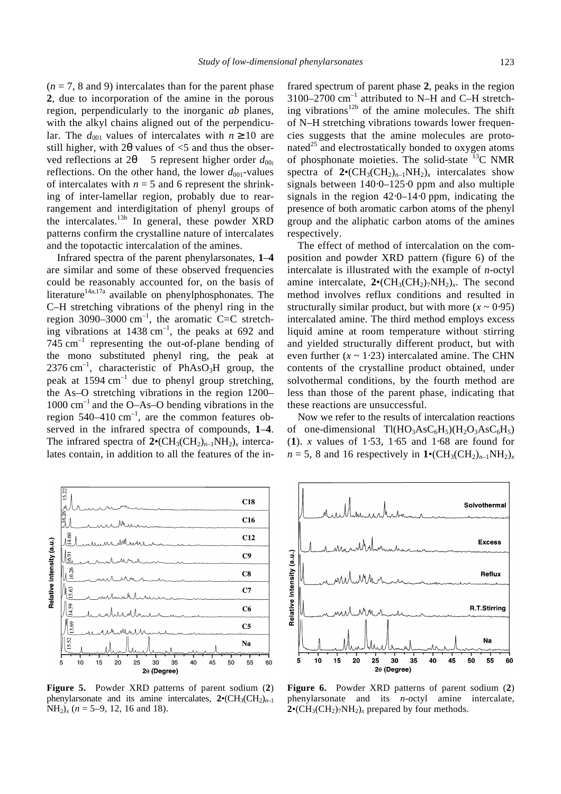$(n = 7, 8$  and 9) intercalates than for the parent phase **2**, due to incorporation of the amine in the porous region, perpendicularly to the inorganic *ab* planes, with the alkyl chains aligned out of the perpendicular. The  $d_{001}$  values of intercalates with  $n \ge 10$  are still higher, with  $2q$  values of  $\leq$  5 and thus the observed reflections at 2 $q = 5$  represent higher order  $d_{000}$ reflections. On the other hand, the lower  $d_{001}$ -values of intercalates with  $n = 5$  and 6 represent the shrinking of inter-lamellar region, probably due to rearrangement and interdigitation of phenyl groups of the intercalates.<sup>13b</sup> In general, these powder XRD patterns confirm the crystalline nature of intercalates and the topotactic intercalation of the amines.

Infrared spectra of the parent phenylarsonates, **1**–**4** are similar and some of these observed frequencies could be reasonably accounted for, on the basis of literature<sup>14a,17a</sup> available on phenylphosphonates. The C–H stretching vibrations of the phenyl ring in the region 3090–3000  $\text{cm}^{-1}$ , the aromatic C=C stretching vibrations at  $1438 \text{ cm}^{-1}$ , the peaks at 692 and  $745 \text{ cm}^{-1}$  representing the out-of-plane bending of the mono substituted phenyl ring, the peak at 2376 cm<sup>-1</sup>, characteristic of PhAsO<sub>3</sub>H group, the peak at 1594  $cm^{-1}$  due to phenyl group stretching, the As–O stretching vibrations in the region 1200–  $1000 \text{ cm}^{-1}$  and the O–As–O bending vibrations in the region 540–410 cm<sup>-1</sup>, are the common features observed in the infrared spectra of compounds, **1**–**4**. The infrared spectra of  $2 \cdot (CH_3(CH_2)_{n-1}NH_2)_x$  intercalates contain, in addition to all the features of the in-



**Figure 5.** Powder XRD patterns of parent sodium (**2**) phenylarsonate and its amine intercalates,  $2 \cdot (CH_3(CH_2)_{n-1})$  $NH<sub>2</sub>)<sub>x</sub>$  (*n* = 5–9, 12, 16 and 18).

frared spectrum of parent phase **2**, peaks in the region 3100–2700  $\text{cm}^{-1}$  attributed to N–H and C–H stretching vibrations<sup>12b</sup> of the amine molecules. The shift of N–H stretching vibrations towards lower frequencies suggests that the amine molecules are protonated<sup>25</sup> and electrostatically bonded to oxygen atoms of phosphonate moieties. The solid-state  $^{13}$ C NMR spectra of  $2 \cdot (CH_3(CH_2)_{n-1}NH_2)_x$  intercalates show signals between 140⋅0–125⋅0 ppm and also multiple signals in the region 42⋅0–14⋅0 ppm, indicating the presence of both aromatic carbon atoms of the phenyl group and the aliphatic carbon atoms of the amines respectively.

The effect of method of intercalation on the composition and powder XRD pattern (figure 6) of the intercalate is illustrated with the example of *n*-octyl amine intercalate,  $2 \cdot (CH_3(CH_2)_7NH_2)_x$ . The second method involves reflux conditions and resulted in structurally similar product, but with more  $(x \sim 0.95)$ intercalated amine. The third method employs excess liquid amine at room temperature without stirring and yielded structurally different product, but with even further  $(x \sim 1.23)$  intercalated amine. The CHN contents of the crystalline product obtained, under solvothermal conditions, by the fourth method are less than those of the parent phase, indicating that these reactions are unsuccessful.

Now we refer to the results of intercalation reactions of one-dimensional  $T1(HO_3AsC_6H_5)(H_2O_3AsC_6H_5)$ (**1**). *x* values of 1⋅53, 1⋅65 and 1⋅68 are found for  $n = 5$ , 8 and 16 respectively in  $1 \cdot (CH_3(CH_2)_{n-1}NH_2)_x$ 



**Figure 6.** Powder XRD patterns of parent sodium (**2**) phenylarsonate and its *n*-octyl amine intercalate,  $2 \cdot (CH_3(CH_2)_7NH_2)_x$  prepared by four methods.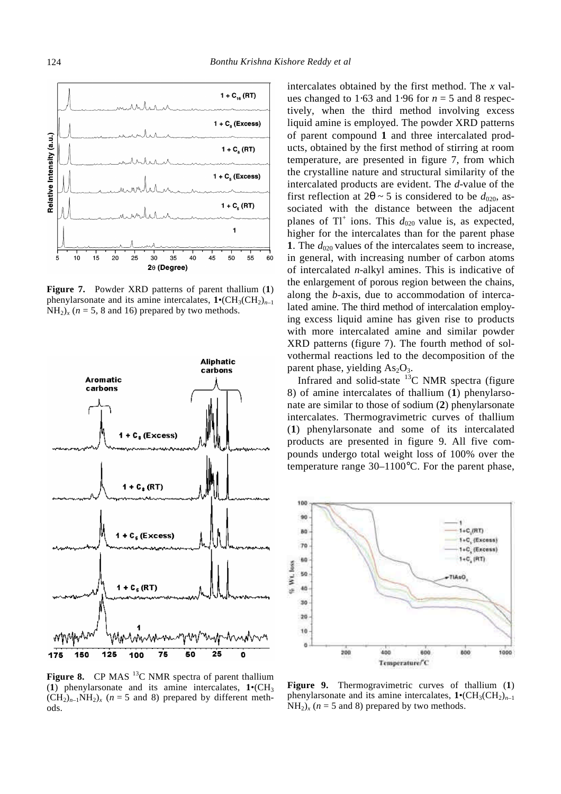

**Figure 7.** Powder XRD patterns of parent thallium (**1**) phenylarsonate and its amine intercalates,  $1 \cdot (CH_3(CH_2)_{n-1})$  $NH<sub>2</sub>$ )<sub>*x*</sub> ( $n = 5$ , 8 and 16) prepared by two methods.



**Figure 8.** CP MAS <sup>13</sup>C NMR spectra of parent thallium (1) phenylarsonate and its amine intercalates,  $1 \cdot (CH_3)$  $(CH_2)_{n-1}NH_2)_{x}$  ( $n = 5$  and 8) prepared by different methods.

intercalates obtained by the first method. The *x* values changed to 1⋅63 and 1⋅96 for  $n = 5$  and 8 respectively, when the third method involving excess liquid amine is employed. The powder XRD patterns of parent compound **1** and three intercalated products, obtained by the first method of stirring at room temperature, are presented in figure 7, from which the crystalline nature and structural similarity of the intercalated products are evident. The *d*-value of the first reflection at  $2\mathbf{q} \sim 5$  is considered to be  $d_{020}$ , associated with the distance between the adjacent planes of  $TI^+$  ions. This  $d_{020}$  value is, as expected, higher for the intercalates than for the parent phase **1**. The  $d_{020}$  values of the intercalates seem to increase, in general, with increasing number of carbon atoms of intercalated *n*-alkyl amines. This is indicative of the enlargement of porous region between the chains, along the *b*-axis, due to accommodation of intercalated amine. The third method of intercalation employing excess liquid amine has given rise to products with more intercalated amine and similar powder XRD patterns (figure 7). The fourth method of solvothermal reactions led to the decomposition of the parent phase, yielding  $As<sub>2</sub>O<sub>3</sub>$ .

Infrared and solid-state  $^{13}$ C NMR spectra (figure 8) of amine intercalates of thallium (**1**) phenylarsonate are similar to those of sodium (**2**) phenylarsonate intercalates. Thermogravimetric curves of thallium (**1**) phenylarsonate and some of its intercalated products are presented in figure 9. All five compounds undergo total weight loss of 100% over the temperature range 30–1100°C. For the parent phase,



**Figure 9.** Thermogravimetric curves of thallium (**1**) phenylarsonate and its amine intercalates,  $1 \cdot (CH_3(CH_2)_{n-1})$  $NH<sub>2</sub>$ )<sub>*x*</sub> (*n* = 5 and 8) prepared by two methods.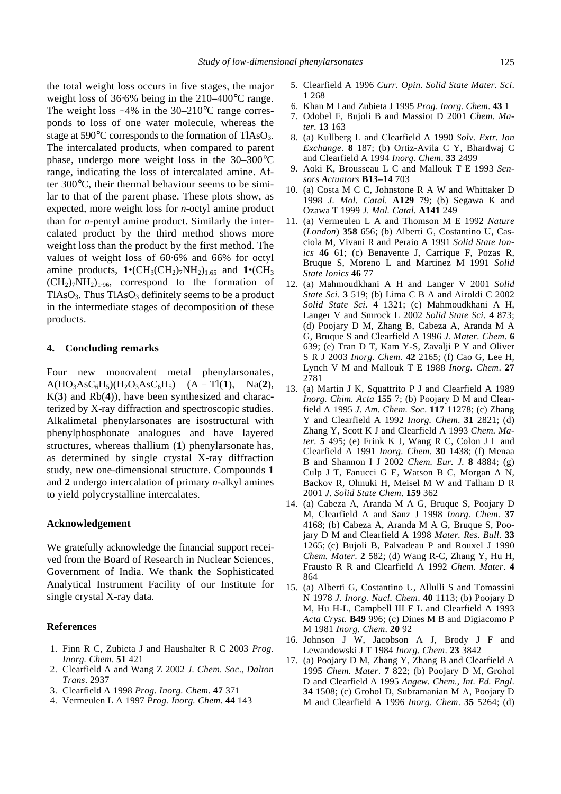the total weight loss occurs in five stages, the major weight loss of 36⋅6% being in the 210–400°C range. The weight loss  $~4\%$  in the 30–210 $\degree$ C range corresponds to loss of one water molecule, whereas the stage at  $590^{\circ}$ C corresponds to the formation of TlAsO<sub>3</sub>. The intercalated products, when compared to parent phase, undergo more weight loss in the 30–300°C range, indicating the loss of intercalated amine. After 300°C, their thermal behaviour seems to be similar to that of the parent phase. These plots show, as expected, more weight loss for *n*-octyl amine product than for *n*-pentyl amine product. Similarly the intercalated product by the third method shows more weight loss than the product by the first method. The values of weight loss of 60⋅6% and 66% for octyl amine products,  $1 \cdot (CH_3(CH_2)_7NH_2)_{1.65}$  and  $1 \cdot (CH_3)$  $(CH_2)_7NH_2)_{1.96}$ , correspond to the formation of  $TIASO<sub>3</sub>$ . Thus  $TIASO<sub>3</sub>$  definitely seems to be a product in the intermediate stages of decomposition of these products.

# **4. Concluding remarks**

Four new monovalent metal phenylarsonates,  $A(HO_3AsC_6H_5)(H_2O_3AsC_6H_5)$   $(A = T1(1), Na(2),$ K(**3**) and Rb(**4**)), have been synthesized and characterized by X-ray diffraction and spectroscopic studies. Alkalimetal phenylarsonates are isostructural with phenylphosphonate analogues and have layered structures, whereas thallium (**1**) phenylarsonate has, as determined by single crystal X-ray diffraction study, new one-dimensional structure. Compounds **1** and **2** undergo intercalation of primary *n*-alkyl amines to yield polycrystalline intercalates.

## **Acknowledgement**

We gratefully acknowledge the financial support received from the Board of Research in Nuclear Sciences, Government of India. We thank the Sophisticated Analytical Instrument Facility of our Institute for single crystal X-ray data.

# **References**

- 1. Finn R C, Zubieta J and Haushalter R C 2003 *Prog*. *Inorg. Chem*. **51** 421
- 2. Clearfield A and Wang Z 2002 *J. Chem. Soc*., *Dalton Trans*. 2937
- 3. Clearfield A 1998 *Prog. Inorg. Chem*. **47** 371
- 4. Vermeulen L A 1997 *Prog. Inorg. Chem*. **44** 143
- 5. Clearfield A 1996 *Curr. Opin. Solid State Mater. Sci*. **1** 268
- 6. Khan M I and Zubieta J 1995 *Prog*. *Inorg. Chem*. **43** 1
- 7. Odobel F, Bujoli B and Massiot D 2001 *Chem. Mater*. **13** 163
- 8. (a) Kullberg L and Clearfield A 1990 *Solv. Extr. Ion Exchange*. **8** 187; (b) Ortiz-Avila C Y, Bhardwaj C and Clearfield A 1994 *Inorg. Chem*. **33** 2499
- 9. Aoki K, Brousseau L C and Mallouk T E 1993 *Sensors Actuators* **B13–14** 703
- 10. (a) Costa M C C, Johnstone R A W and Whittaker D 1998 *J. Mol. Catal.* **A129** 79; (b) Segawa K and Ozawa T 1999 *J. Mol. Catal.* **A141** 249
- 11. (a) Vermeulen L A and Thomson M E 1992 *Nature*  (*London*) **358** 656; (b) Alberti G, Costantino U, Casciola M, Vivani R and Peraio A 1991 *Solid State Ionics* **46** 61; (c) Benavente J, Carrique F, Pozas R, Bruque S, Moreno L and Martinez M 1991 *Solid State Ionics* **46** 77
- 12. (a) Mahmoudkhani A H and Langer V 2001 *Solid State Sci*. **3** 519; (b) Lima C B A and Airoldi C 2002 *Solid State Sci*. **4** 1321; (c) Mahmoudkhani A H, Langer V and Smrock L 2002 *Solid State Sci*. **4** 873; (d) Poojary D M, Zhang B, Cabeza A, Aranda M A G, Bruque S and Clearfield A 1996 *J. Mater. Chem*. **6**  639; (e) Tran D T, Kam Y-S, Zavalji P Y and Oliver S R J 2003 *Inorg. Chem*. **42** 2165; (f) Cao G, Lee H, Lynch V M and Mallouk T E 1988 *Inorg. Chem*. **27**  2781
- 13. (a) Martin J K, Squattrito P J and Clearfield A 1989 *Inorg. Chim. Acta* **155** 7; (b) Poojary D M and Clearfield A 1995 *J. Am. Chem. Soc*. **117** 11278; (c) Zhang Y and Clearfield A 1992 *Inorg. Chem*. **31** 2821; (d) Zhang Y, Scott K J and Clearfield A 1993 *Chem. Mater*. **5** 495; (e) Frink K J, Wang R C, Colon J L and Clearfield A 1991 *Inorg. Chem*. **30** 1438; (f) Menaa B and Shannon I J 2002 *Chem. Eur. J.* **8** 4884; (g) Culp J T, Fanucci G E, Watson B C, Morgan A N, Backov R, Ohnuki H, Meisel M W and Talham D R 2001 *J*. *Solid State Chem*. **159** 362
- 14. (a) Cabeza A, Aranda M A G, Bruque S, Poojary D M, Clearfield A and Sanz J 1998 *Inorg. Chem*. **37** 4168; (b) Cabeza A, Aranda M A G, Bruque S, Poojary D M and Clearfield A 1998 *Mater. Res. Bull*. **33**  1265; (c) Bujoli B, Palvadeau P and Rouxel J 1990 *Chem. Mater*. **2** 582; (d) Wang R-C, Zhang Y, Hu H, Frausto R R and Clearfield A 1992 *Chem. Mater*. **4**  864
- 15. (a) Alberti G, Costantino U, Allulli S and Tomassini N 1978 *J. Inorg. Nucl. Chem*. **40** 1113; (b) Poojary D M, Hu H-L, Campbell III F L and Clearfield A 1993 *Acta Cryst*. **B49** 996; (c) Dines M B and Digiacomo P M 1981 *Inorg. Chem*. **20** 92
- 16. Johnson J W, Jacobson A J, Brody J F and Lewandowski J T 1984 *Inorg. Chem*. **23** 3842
- 17. (a) Poojary D M, Zhang Y, Zhang B and Clearfield A 1995 *Chem. Mater*. **7** 822; (b) Poojary D M, Grohol D and Clearfield A 1995 *Angew. Chem.*, *Int. Ed. Engl*. **34** 1508; (c) Grohol D, Subramanian M A, Poojary D M and Clearfield A 1996 *Inorg. Chem*. **35** 5264; (d)